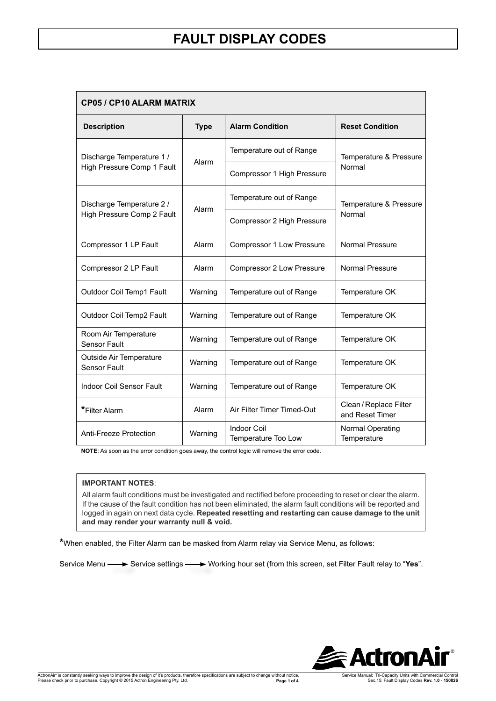| <b>CP05 / CP10 ALARM MATRIX</b>                         |             |                                    |                                           |  |
|---------------------------------------------------------|-------------|------------------------------------|-------------------------------------------|--|
| <b>Description</b>                                      | <b>Type</b> | <b>Alarm Condition</b>             | <b>Reset Condition</b>                    |  |
| Discharge Temperature 1 /<br>High Pressure Comp 1 Fault | Alarm       | Temperature out of Range           | Temperature & Pressure<br>Normal          |  |
|                                                         |             | Compressor 1 High Pressure         |                                           |  |
| Discharge Temperature 2 /<br>High Pressure Comp 2 Fault | Alarm       | Temperature out of Range           | Temperature & Pressure<br>Normal          |  |
|                                                         |             | Compressor 2 High Pressure         |                                           |  |
| Compressor 1 LP Fault                                   | Alarm       | Compressor 1 Low Pressure          | <b>Normal Pressure</b>                    |  |
| Compressor 2 LP Fault                                   | Alarm       | Compressor 2 Low Pressure          | <b>Normal Pressure</b>                    |  |
| Outdoor Coil Temp1 Fault                                | Warning     | Temperature out of Range           | Temperature OK                            |  |
| Outdoor Coil Temp2 Fault                                | Warning     | Temperature out of Range           | Temperature OK                            |  |
| Room Air Temperature<br>Sensor Fault                    | Warning     | Temperature out of Range           | Temperature OK                            |  |
| Outside Air Temperature<br><b>Sensor Fault</b>          | Warning     | Temperature out of Range           | Temperature OK                            |  |
| <b>Indoor Coil Sensor Fault</b>                         | Warning     | Temperature out of Range           | Temperature OK                            |  |
| *Filter Alarm                                           | Alarm       | Air Filter Timer Timed-Out         | Clean / Replace Filter<br>and Reset Timer |  |
| Anti-Freeze Protection                                  | Warning     | Indoor Coil<br>Temperature Too Low | Normal Operating<br>Temperature           |  |

**NOTE**: As soon as the error condition goes away, the control logic will remove the error code.

#### **IMPORTANT NOTES**:

All alarm fault conditions must be investigated and rectified before proceeding to reset or clear the alarm. If the cause of the fault condition has not been eliminated, the alarm fault conditions will be reported and logged in again on next data cycle. **Repeated resetting and restarting can cause damage to the unit and may render your warranty null & void.** 

**\***When enabled, the Filter Alarm can be masked from Alarm relay via Service Menu, as follows:

Service Menu **-**> Service settings -> Working hour set (from this screen, set Filter Fault relay to "Yes".

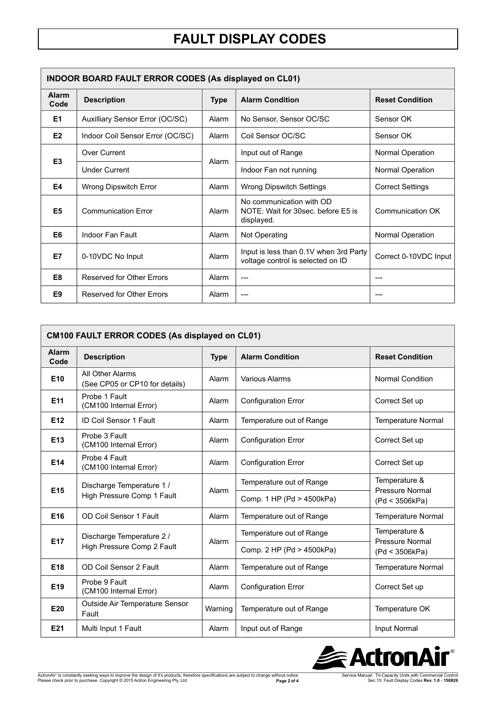| <b>INDOOR BOARD FAULT ERROR CODES (As displayed on CL01)</b> |                                  |             |                                                                              |                         |
|--------------------------------------------------------------|----------------------------------|-------------|------------------------------------------------------------------------------|-------------------------|
| <b>Alarm</b><br>Code                                         | <b>Description</b>               | <b>Type</b> | <b>Alarm Condition</b>                                                       | <b>Reset Condition</b>  |
| E <sub>1</sub>                                               | Auxilliary Sensor Error (OC/SC)  | Alarm       | No Sensor, Sensor OC/SC                                                      | Sensor OK               |
| E <sub>2</sub>                                               | Indoor Coil Sensor Error (OC/SC) | Alarm       | Coil Sensor OC/SC                                                            | Sensor OK               |
| E <sub>3</sub>                                               | Over Current                     | Alarm       | Input out of Range                                                           | Normal Operation        |
|                                                              | <b>Under Current</b>             |             | Indoor Fan not running                                                       | Normal Operation        |
| E4                                                           | <b>Wrong Dipswitch Error</b>     | Alarm       | <b>Wrong Dipswitch Settings</b>                                              | <b>Correct Settings</b> |
| E <sub>5</sub>                                               | <b>Communication Error</b>       | Alarm       | No communication with OD<br>NOTE: Wait for 30sec. before E5 is<br>displayed. | Communication OK        |
| E <sub>6</sub>                                               | Indoor Fan Fault                 | Alarm       | Not Operating                                                                | Normal Operation        |
| E7                                                           | 0-10VDC No Input                 | Alarm       | Input is less than 0.1V when 3rd Party<br>voltage control is selected on ID  | Correct 0-10VDC Input   |
| E <sub>8</sub>                                               | <b>Reserved for Other Errors</b> | Alarm       | $---$                                                                        |                         |
| E <sub>9</sub>                                               | <b>Reserved for Other Errors</b> | Alarm       | $---$                                                                        |                         |

| CM100 FAULT ERROR CODES (As displayed on CL01) |                                                         |             |                            |                                                    |
|------------------------------------------------|---------------------------------------------------------|-------------|----------------------------|----------------------------------------------------|
| <b>Alarm</b><br>Code                           | <b>Description</b>                                      | <b>Type</b> | <b>Alarm Condition</b>     | <b>Reset Condition</b>                             |
| E <sub>10</sub>                                | All Other Alarms<br>(See CP05 or CP10 for details)      | Alarm       | <b>Various Alarms</b>      | <b>Normal Condition</b>                            |
| E <sub>11</sub>                                | Probe 1 Fault<br>(CM100 Internal Error)                 | Alarm       | <b>Configuration Error</b> | Correct Set up                                     |
| E <sub>12</sub>                                | <b>ID Coil Sensor 1 Fault</b>                           | Alarm       | Temperature out of Range   | <b>Temperature Normal</b>                          |
| E13                                            | Probe 3 Fault<br>(CM100 Internal Error)                 | Alarm       | <b>Configuration Error</b> | Correct Set up                                     |
| E14                                            | Probe 4 Fault<br>(CM100 Internal Error)                 | Alarm       | <b>Configuration Error</b> | Correct Set up                                     |
| E <sub>15</sub>                                | Discharge Temperature 1 /<br>High Pressure Comp 1 Fault | Alarm       | Temperature out of Range   | Temperature &<br>Pressure Normal<br>(Pd < 3506kPa) |
|                                                |                                                         |             | Comp. 1 HP (Pd > 4500kPa)  |                                                    |
| E16                                            | OD Coil Sensor 1 Fault                                  | Alarm       | Temperature out of Range   | <b>Temperature Normal</b>                          |
| E <sub>17</sub>                                | Discharge Temperature 2 /                               | Alarm       | Temperature out of Range   | Temperature &<br>Pressure Normal<br>(Pd < 3506kPa) |
|                                                | High Pressure Comp 2 Fault                              |             | Comp. 2 HP (Pd > 4500kPa)  |                                                    |
| E <sub>18</sub>                                | OD Coil Sensor 2 Fault                                  | Alarm       | Temperature out of Range   | Temperature Normal                                 |
| E <sub>19</sub>                                | Probe 9 Fault<br>(CM100 Internal Error)                 | Alarm       | <b>Configuration Error</b> | Correct Set up                                     |
| E20                                            | Outside Air Temperature Sensor<br>Fault                 | Warning     | Temperature out of Range   | Temperature OK                                     |
| E21                                            | Multi Input 1 Fault                                     | Alarm       | Input out of Range         | Input Normal                                       |



ActronAir® is constantly seeking ways to improve the design of it's products, therefore specifications are subject to change without notice.<br>Please check prior to purchase. Copyright © 2015 Actron Engineering Pty. Ltd.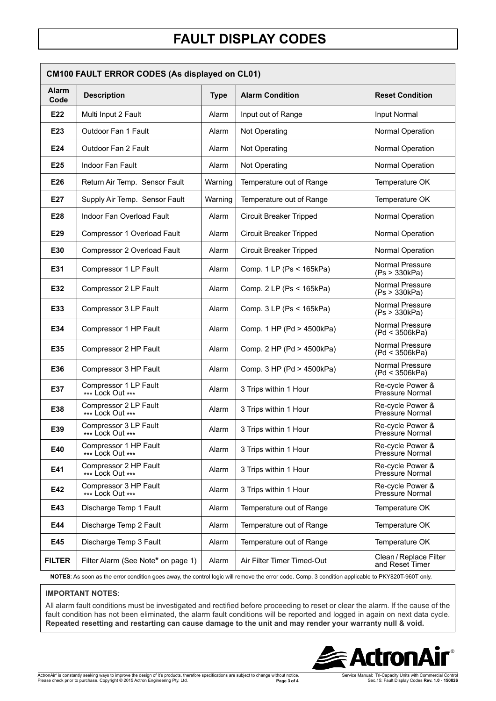| <b>CM100 FAULT ERROR CODES (As displayed on CL01)</b> |                                           |             |                                |                                           |
|-------------------------------------------------------|-------------------------------------------|-------------|--------------------------------|-------------------------------------------|
| <b>Alarm</b><br>Code                                  | <b>Description</b>                        | <b>Type</b> | <b>Alarm Condition</b>         | <b>Reset Condition</b>                    |
| E22                                                   | Multi Input 2 Fault                       | Alarm       | Input out of Range             | Input Normal                              |
| E23                                                   | Outdoor Fan 1 Fault                       | Alarm       | Not Operating                  | Normal Operation                          |
| E24                                                   | Outdoor Fan 2 Fault                       | Alarm       | Not Operating                  | Normal Operation                          |
| E25                                                   | <b>Indoor Fan Fault</b>                   | Alarm       | Not Operating                  | Normal Operation                          |
| E26                                                   | Return Air Temp. Sensor Fault             | Warning     | Temperature out of Range       | Temperature OK                            |
| E27                                                   | Supply Air Temp. Sensor Fault             | Warning     | Temperature out of Range       | Temperature OK                            |
| E28                                                   | Indoor Fan Overload Fault                 | Alarm       | <b>Circuit Breaker Tripped</b> | Normal Operation                          |
| E29                                                   | Compressor 1 Overload Fault               | Alarm       | <b>Circuit Breaker Tripped</b> | Normal Operation                          |
| E30                                                   | Compressor 2 Overload Fault               | Alarm       | <b>Circuit Breaker Tripped</b> | Normal Operation                          |
| E31                                                   | Compressor 1 LP Fault                     | Alarm       | Comp. 1 LP (Ps < 165kPa)       | Normal Pressure<br>(Ps > 330kPa)          |
| E32                                                   | Compressor 2 LP Fault                     | Alarm       | Comp. 2 LP (Ps < 165kPa)       | Normal Pressure<br>(Ps > 330kPa)          |
| E33                                                   | Compressor 3 LP Fault                     | Alarm       | Comp. 3 LP (Ps < 165kPa)       | Normal Pressure<br>(Ps > 330kPa)          |
| E34                                                   | Compressor 1 HP Fault                     | Alarm       | Comp. 1 HP (Pd > 4500kPa)      | Normal Pressure<br>(Pd < 3506kPa)         |
| E35                                                   | Compressor 2 HP Fault                     | Alarm       | Comp. 2 HP (Pd > 4500kPa)      | Normal Pressure<br>(Pd < 3506kPa)         |
| E36                                                   | Compressor 3 HP Fault                     | Alarm       | Comp. 3 HP (Pd > 4500kPa)      | Normal Pressure<br>(Pd < 3506kPa)         |
| E37                                                   | Compressor 1 LP Fault<br>*** Lock Out *** | Alarm       | 3 Trips within 1 Hour          | Re-cycle Power &<br>Pressure Normal       |
| E38                                                   | Compressor 2 LP Fault<br>*** Lock Out *** | Alarm       | 3 Trips within 1 Hour          | Re-cycle Power &<br>Pressure Normal       |
| E39                                                   | Compressor 3 LP Fault<br>*** Lock Out *** | Alarm       | 3 Trips within 1 Hour          | Re-cycle Power &<br>Pressure Normal       |
| E40                                                   | Compressor 1 HP Fault<br>*** Lock Out *** | Alarm       | 3 Trips within 1 Hour          | Re-cycle Power &<br>Pressure Normal       |
| E41                                                   | Compressor 2 HP Fault<br>*** Lock Out *** | Alarm       | 3 Trips within 1 Hour          | Re-cycle Power &<br>Pressure Normal       |
| E42                                                   | Compressor 3 HP Fault<br>*** Lock Out *** | Alarm       | 3 Trips within 1 Hour          | Re-cycle Power &<br>Pressure Normal       |
| E43                                                   | Discharge Temp 1 Fault                    | Alarm       | Temperature out of Range       | Temperature OK                            |
| E44                                                   | Discharge Temp 2 Fault                    | Alarm       | Temperature out of Range       | Temperature OK                            |
| E45                                                   | Discharge Temp 3 Fault                    | Alarm       | Temperature out of Range       | Temperature OK                            |
| <b>FILTER</b>                                         | Filter Alarm (See Note* on page 1)        | Alarm       | Air Filter Timer Timed-Out     | Clean / Replace Filter<br>and Reset Timer |

 **NOTES**: As soon as the error condition goes away, the control logic will remove the error code. Comp. 3 condition applicable to PKY820T-960T only.

#### **IMPORTANT NOTES**:

All alarm fault conditions must be investigated and rectified before proceeding to reset or clear the alarm. If the cause of the fault condition has not been eliminated, the alarm fault conditions will be reported and logged in again on next data cycle. **Repeated resetting and restarting can cause damage to the unit and may render your warranty null & void.**